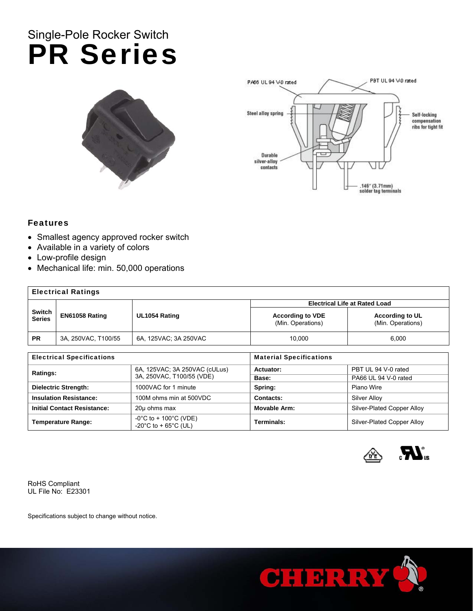## Single-Pole Rocker Switch PR Series





### Features

- Smallest agency approved rocker switch
- Available in a variety of colors
- Low-profile design
- Mechanical life: min. 50,000 operations

| <b>Electrical Ratings</b> |                     |                       |                                              |                                             |  |
|---------------------------|---------------------|-----------------------|----------------------------------------------|---------------------------------------------|--|
|                           |                     |                       | <b>Electrical Life at Rated Load</b>         |                                             |  |
| Switch<br>Series          | EN61058 Rating      | UL1054 Rating         | <b>According to VDE</b><br>(Min. Operations) | <b>According to UL</b><br>(Min. Operations) |  |
| <b>PR</b>                 | 3A, 250VAC, T100/55 | 6A, 125VAC; 3A 250VAC | 10,000                                       | 6,000                                       |  |

| <b>Electrical Specifications</b>   |                                                            | <b>Material Specifications</b> |                            |  |
|------------------------------------|------------------------------------------------------------|--------------------------------|----------------------------|--|
| Ratings:                           | 6A, 125VAC; 3A 250VAC (cULus)<br>3A, 250VAC, T100/55 (VDE) | Actuator:                      | PBT UL 94 V-0 rated        |  |
|                                    |                                                            | Base:                          | PA66 UL 94 V-0 rated       |  |
| <b>Dielectric Strength:</b>        | 1000VAC for 1 minute                                       | Spring:                        | Piano Wire                 |  |
| <b>Insulation Resistance:</b>      | 100M ohms min at 500VDC                                    | Contacts:                      | Silver Alloy               |  |
| <b>Initial Contact Resistance:</b> | 20µ ohms max                                               | Movable Arm:                   | Silver-Plated Copper Alloy |  |
| <b>Temperature Range:</b>          | -0°C to + 100°C (VDE)<br>-20°C to + 65°C (UL)              | Terminals:                     | Silver-Plated Copper Alloy |  |



RoHS Compliant UL File No: E23301

Specifications subject to change without notice.